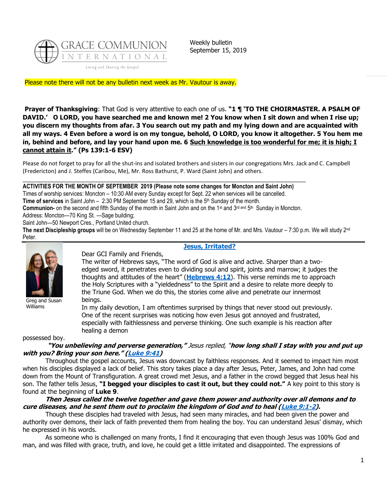

Weekly bulletin September 15, 2019

Please note there will not be any bulletin next week as Mr. Vautour is away.

**Prayer of Thanksgiving**: That God is very attentive to each one of us. **"1 ¶ 'TO THE CHOIRMASTER. A PSALM OF DAVID.' O LORD, you have searched me and known me! 2 You know when I sit down and when I rise up; you discern my thoughts from afar. 3 You search out my path and my lying down and are acquainted with all my ways. 4 Even before a word is on my tongue, behold, O LORD, you know it altogether. 5 You hem me in, behind and before, and lay your hand upon me. 6 Such knowledge is too wonderful for me; it is high; I cannot attain it." (Ps 139:1-6 ESV)**

Please do not forget to pray for all the shut-ins and isolated brothers and sisters in our congregations Mrs. Jack and C. Campbell (Fredericton) and J. Steffes (Caribou, Me), Mr. Ross Bathurst, P. Ward (Saint John) and others.

#### \_\_\_\_\_\_\_\_\_\_\_\_\_\_\_\_\_\_\_\_\_\_\_\_\_\_\_\_\_\_\_\_\_\_\_\_\_\_\_\_\_\_\_\_\_\_\_\_\_\_\_\_\_\_\_\_\_\_\_\_\_\_\_\_\_\_\_\_\_\_\_\_\_\_\_\_\_\_\_\_\_\_\_\_\_\_\_\_\_\_ **ACTIVITIES FOR THE MONTH OF SEPTEMBER 2019 (Please note some changes for Moncton and Saint John)**

Times of worship services: Moncton – 10:30 AM every Sunday except for Sept. 22 when services will be cancelled.

Time of services in Saint John – 2:30 PM September 15 and 29, which is the 5<sup>th</sup> Sunday of the month.

Communion- on the second and fifth Sunday of the month in Saint John and on the 1<sup>st</sup> and 3<sup>rd and</sup> 5<sup>th</sup> Sunday in Moncton.

Address: Moncton—70 King St. —Sage building;

Saint John—50 Newport Cres., Portland United church.

The next Discipleship groups will be on Wednesday September 11 and 25 at the home of Mr. and Mrs. Vautour – 7:30 p.m. We will study 2<sup>nd</sup> Peter.



Greg and Susan Williams

#### **[Jesus, Irritated?](https://update.gci.org/2019/09/jesus-irritated/)** Dear GCI Family and Friends,

The writer of Hebrews says, "The word of God is alive and active. Sharper than a twoedged sword, it penetrates even to dividing soul and spirit, joints and marrow; it judges the thoughts and attitudes of the heart" (**[Hebrews 4:12](https://biblia.com/bible/niv/Heb%204.12)**). This verse reminds me to approach the Holy Scriptures with a "yieldedness" to the Spirit and a desire to relate more deeply to the Triune God. When we do this, the stories come alive and penetrate our innermost beings.

In my daily devotion, I am oftentimes surprised by things that never stood out previously. One of the recent surprises was noticing how even Jesus got annoyed and frustrated, especially with faithlessness and perverse thinking. One such example is his reaction after healing a demon

possessed boy.

### **"You unbelieving and perverse generation,"** Jesus replied, "**how long shall I stay with you and put up with you? Bring your son here." ([Luke 9:41\)](https://biblia.com/bible/niv/Luke%209.41)**

Throughout the gospel accounts, Jesus was downcast by faithless responses. And it seemed to impact him most when his disciples displayed a lack of belief. This story takes place a day after Jesus, Peter, James, and John had come down from the Mount of Transfiguration. A great crowd met Jesus, and a father in the crowd begged that Jesus heal his son. The father tells Jesus, **"I begged your disciples to cast it out, but they could not."** A key point to this story is found at the beginning of **Luke 9**.

### **Then Jesus called the twelve together and gave them power and authority over all demons and to cure diseases, and he sent them out to proclaim the kingdom of God and to heal [\(Luke 9:1-2\)](https://biblia.com/bible/niv/Luke%209.1-2).**

Though these disciples had traveled with Jesus, had seen many miracles, and had been given the power and authority over demons, their lack of faith prevented them from healing the boy. You can understand Jesus' dismay, which he expressed in his words.

As someone who is challenged on many fronts, I find it encouraging that even though Jesus was 100% God and man, and was filled with grace, truth, and love, he could get a little irritated and disappointed. The expressions of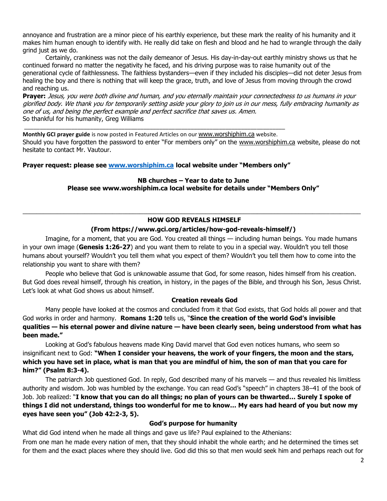annoyance and frustration are a minor piece of his earthly experience, but these mark the reality of his humanity and it makes him human enough to identify with. He really did take on flesh and blood and he had to wrangle through the daily grind just as we do.

Certainly, crankiness was not the daily demeanor of Jesus. His day-in-day-out earthly ministry shows us that he continued forward no matter the negativity he faced, and his driving purpose was to raise humanity out of the generational cycle of faithlessness. The faithless bystanders—even if they included his disciples—did not deter Jesus from healing the boy and there is nothing that will keep the grace, truth, and love of Jesus from moving through the crowd and reaching us.

**Prayer:** Jesus, you were both divine and human, and you eternally maintain your connectedness to us humans in your glorified body. We thank you for temporarily setting aside your glory to join us in our mess, fully embracing humanity as one of us, and being the perfect example and perfect sacrifice that saves us. Amen. So thankful for his humanity, Greg Williams

**Monthly GCI prayer guide** is now posted in Featured Articles on our [www.worshiphim.ca](http://www.worshiphim.ca/) website. Should you have forgotten the password to enter "For members only" on the [www.worshiphim.ca](http://www.worshiphim.ca/) website, please do not hesitate to contact Mr. Vautour.

# **Prayer request: please see [www.worshiphim.ca](http://www.worshiphim.ca/) local website under "Members only"**

\_\_\_\_\_\_\_\_\_\_\_\_\_\_\_\_\_\_\_\_\_\_\_\_\_\_\_\_\_\_\_\_\_\_\_\_\_\_\_\_\_\_\_\_\_\_\_\_\_\_\_\_\_\_\_\_\_\_\_\_\_\_\_\_\_\_\_\_\_\_\_\_\_\_\_\_\_\_\_\_\_\_\_

**NB churches – Year to date to June Please see www.worshiphim.ca local website for details under "Members Only"**

# $\_$  ,  $\_$  ,  $\_$  ,  $\_$  ,  $\_$  ,  $\_$  ,  $\_$  ,  $\_$  ,  $\_$  ,  $\_$  ,  $\_$  ,  $\_$  ,  $\_$  ,  $\_$  ,  $\_$  ,  $\_$  ,  $\_$  ,  $\_$  ,  $\_$  ,  $\_$  ,  $\_$  ,  $\_$  ,  $\_$  ,  $\_$  ,  $\_$  ,  $\_$  ,  $\_$  ,  $\_$  ,  $\_$  ,  $\_$  ,  $\_$  ,  $\_$  ,  $\_$  ,  $\_$  ,  $\_$  ,  $\_$  ,  $\_$  , **HOW GOD REVEALS HIMSELF**

### **(From https://www.gci.org/articles/how-god-reveals-himself/)**

Imagine, for a moment, that you are God. You created all things — including human beings. You made humans in your own image (**Genesis 1:26-27**) and you want them to relate to you in a special way. Wouldn't you tell those humans about yourself? Wouldn't you tell them what you expect of them? Wouldn't you tell them how to come into the relationship you want to share with them?

People who believe that God is unknowable assume that God, for some reason, hides himself from his creation. But God does reveal himself, through his creation, in history, in the pages of the Bible, and through his Son, Jesus Christ. Let's look at what God shows us about himself.

#### **Creation reveals God**

Many people have looked at the cosmos and concluded from it that God exists, that God holds all power and that God works in order and harmony. **Romans 1:20** tells us, "**Since the creation of the world God's invisible qualities — his eternal power and divine nature — have been clearly seen, being understood from what has been made."** 

Looking at God's fabulous heavens made King David marvel that God even notices humans, who seem so insignificant next to God: **"When I consider your heavens, the work of your fingers, the moon and the stars, which you have set in place, what is man that you are mindful of him, the son of man that you care for him?" (Psalm 8:3-4).** 

The patriarch Job questioned God. In reply, God described many of his marvels — and thus revealed his limitless authority and wisdom. Job was humbled by the exchange. You can read God's "speech" in chapters 38–41 of the book of Job. Job realized: "**I know that you can do all things; no plan of yours can be thwarted… Surely I spoke of things I did not understand, things too wonderful for me to know… My ears had heard of you but now my eyes have seen you" (Job 42:2-3, 5).**

#### **God's purpose for humanity**

What did God intend when he made all things and gave us life? Paul explained to the Athenians:

From one man he made every nation of men, that they should inhabit the whole earth; and he determined the times set for them and the exact places where they should live. God did this so that men would seek him and perhaps reach out for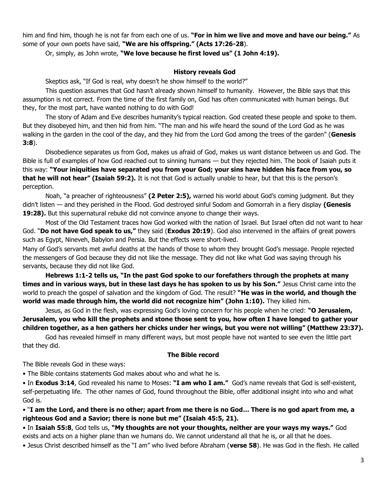him and find him, though he is not far from each one of us. **"For in him we live and move and have our being."** As some of your own poets have said, **"We are his offspring." (Acts 17:26-28**).

Or, simply, as John wrote, **"We love because he first loved us" (1 John 4:19).**

# **History reveals God**

Skeptics ask, "If God is real, why doesn't he show himself to the world?"

This question assumes that God hasn't already shown himself to humanity. However, the Bible says that this assumption is not correct. From the time of the first family on, God has often communicated with human beings. But they, for the most part, have wanted nothing to do with God!

The story of Adam and Eve describes humanity's typical reaction. God created these people and spoke to them. But they disobeyed him, and then hid from him. "The man and his wife heard the sound of the Lord God as he was walking in the garden in the cool of the day, and they hid from the Lord God among the trees of the garden" (**Genesis 3:8**).

Disobedience separates us from God, makes us afraid of God, makes us want distance between us and God. The Bible is full of examples of how God reached out to sinning humans — but they rejected him. The book of Isaiah puts it this way: **"Your iniquities have separated you from your God; your sins have hidden his face from you, so that he will not hear" (Isaiah 59:2).** It is not that God is actually unable to hear, but that this is the person's perception.

Noah, "a preacher of righteousness" **(2 Peter 2:5),** warned his world about God's coming judgment. But they didn't listen — and they perished in the Flood. God destroyed sinful Sodom and Gomorrah in a fiery display **(Genesis 19:28).** But this supernatural rebuke did not convince anyone to change their ways.

Most of the Old Testament traces how God worked with the nation of Israel. But Israel often did not want to hear God. "**Do not have God speak to us,"** they said (**Exodus 20:19**). God also intervened in the affairs of great powers such as Egypt, Nineveh, Babylon and Persia. But the effects were short-lived.

Many of God's servants met awful deaths at the hands of those to whom they brought God's message. People rejected the messengers of God because they did not like the message. They did not like what God was saying through his servants, because they did not like God.

**Hebrews 1:1-2 tells us, "In the past God spoke to our forefathers through the prophets at many times and in various ways, but in these last days he has spoken to us by his Son."** Jesus Christ came into the world to preach the gospel of salvation and the kingdom of God. The result? **"He was in the world, and though the world was made through him, the world did not recognize him" (John 1:10).** They killed him.

Jesus, as God in the flesh, was expressing God's loving concern for his people when he cried: **"O Jerusalem, Jerusalem, you who kill the prophets and stone those sent to you, how often I have longed to gather your children together, as a hen gathers her chicks under her wings, but you were not willing" (Matthew 23:37).** 

God has revealed himself in many different ways, but most people have not wanted to see even the little part that they did.

# **The Bible record**

The Bible reveals God in these ways:

• The Bible contains statements God makes about who and what he is.

• In **Exodus 3:14**, God revealed his name to Moses: **"I am who I am."** God's name reveals that God is self-existent, self-perpetuating life. The other names of God, found throughout the Bible, offer additional insight into who and what God is.

• "**I am the Lord, and there is no other; apart from me there is no God… There is no god apart from me, a righteous God and a Savior; there is none but me" (Isaiah 45:5, 21).**

• In **Isaiah 55:8**, God tells us, **"My thoughts are not your thoughts, neither are your ways my ways."** God exists and acts on a higher plane than we humans do. We cannot understand all that he is, or all that he does.

• Jesus Christ described himself as the "I am" who lived before Abraham (**verse 58**). He was God in the flesh. He called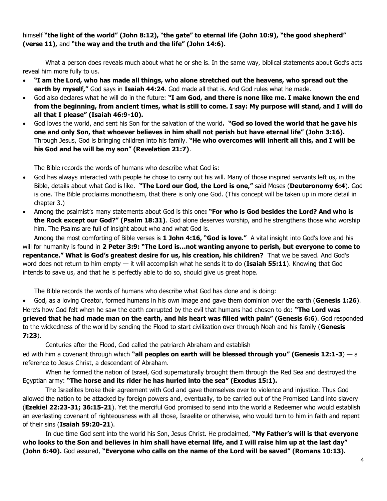# himself **"the light of the world" (John 8:12),** "**the gate" to eternal life (John 10:9), "the good shepherd" (verse 11),** and **"the way and the truth and the life" (John 14:6).**

What a person does reveals much about what he or she is. In the same way, biblical statements about God's acts reveal him more fully to us.

- **"I am the Lord, who has made all things, who alone stretched out the heavens, who spread out the earth by myself,"** God says in **Isaiah 44:24**. God made all that is. And God rules what he made.
- God also declares what he will do in the future: **"I am God, and there is none like me. I make known the end from the beginning, from ancient times, what is still to come. I say: My purpose will stand, and I will do all that I please" (Isaiah 46:9-10).**
- God loves the world, and sent his Son for the salvation of the world**. "God so loved the world that he gave his one and only Son, that whoever believes in him shall not perish but have eternal life" (John 3:16).** Through Jesus, God is bringing children into his family. **"He who overcomes will inherit all this, and I will be his God and he will be my son" (Revelation 21:7)**.

The Bible records the words of humans who describe what God is:

- God has always interacted with people he chose to carry out his will. Many of those inspired servants left us, in the Bible, details about what God is like. **"The Lord our God, the Lord is one,"** said Moses (**Deuteronomy 6:4**). God is one. The Bible proclaims monotheism, that there is only one God. (This concept will be taken up in more detail in chapter 3.)
- Among the psalmist's many statements about God is this one**: "For who is God besides the Lord? And who is the Rock except our God?" (Psalm 18:31)**. God alone deserves worship, and he strengthens those who worship him. The Psalms are full of insight about who and what God is.

Among the most comforting of Bible verses is **1 John 4:16, "God is love."** A vital insight into God's love and his will for humanity is found in **2 Peter 3:9: "The Lord is…not wanting anyone to perish, but everyone to come to repentance." What is God's greatest desire for us, his creation, his children?** That we be saved. And God's word does not return to him empty — it will accomplish what he sends it to do (**Isaiah 55:11**). Knowing that God intends to save us, and that he is perfectly able to do so, should give us great hope.

The Bible records the words of humans who describe what God has done and is doing:

• God, as a loving Creator, formed humans in his own image and gave them dominion over the earth (**Genesis 1:26**). Here's how God felt when he saw the earth corrupted by the evil that humans had chosen to do: **"The Lord was grieved that he had made man on the earth, and his heart was filled with pain" (Genesis 6:6**). God responded to the wickedness of the world by sending the Flood to start civilization over through Noah and his family (**Genesis 7:23**).

Centuries after the Flood, God called the patriarch Abraham and establish

ed with him a covenant through which **"all peoples on earth will be blessed through you" (Genesis 12:1-3**) — a reference to Jesus Christ, a descendant of Abraham.

When he formed the nation of Israel, God supernaturally brought them through the Red Sea and destroyed the Egyptian army: **"The horse and its rider he has hurled into the sea" (Exodus 15:1).**

The Israelites broke their agreement with God and gave themselves over to violence and injustice. Thus God allowed the nation to be attacked by foreign powers and, eventually, to be carried out of the Promised Land into slavery (**Ezekiel 22:23-31; 36:15-21**). Yet the merciful God promised to send into the world a Redeemer who would establish an everlasting covenant of righteousness with all those, Israelite or otherwise, who would turn to him in faith and repent of their sins (**Isaiah 59:20-21**).

In due time God sent into the world his Son, Jesus Christ. He proclaimed, **"My Father's will is that everyone who looks to the Son and believes in him shall have eternal life, and I will raise him up at the last day" (John 6:40).** God assured, **"Everyone who calls on the name of the Lord will be saved" (Romans 10:13).**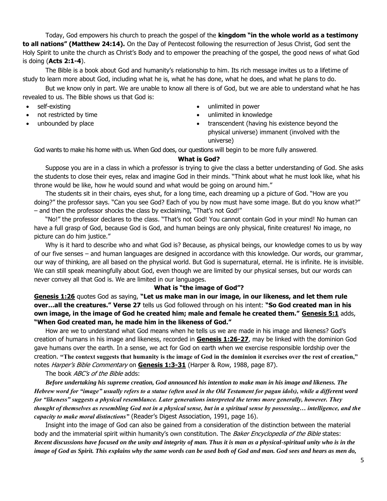Today, God empowers his church to preach the gospel of the **kingdom "in the whole world as a testimony to all nations" (Matthew 24:14).** On the Day of Pentecost following the resurrection of Jesus Christ, God sent the Holy Spirit to unite the church as Christ's Body and to empower the preaching of the gospel, the good news of what God is doing (**Acts 2:1-4**).

The Bible is a book about God and humanity's relationship to him. Its rich message invites us to a lifetime of study to learn more about God, including what he is, what he has done, what he does, and what he plans to do.

But we know only in part. We are unable to know all there is of God, but we are able to understand what he has revealed to us. The Bible shows us that God is:

- self-existing
- not restricted by time
- unbounded by place
- unlimited in power
- unlimited in knowledge
- transcendent (having his existence beyond the physical universe) immanent (involved with the universe)

God wants to make his home with us. When God does, our questions will begin to be more fully answered.

# **What is God?**

Suppose you are in a class in which a professor is trying to give the class a better understanding of God. She asks the students to close their eyes, relax and imagine God in their minds. "Think about what he must look like, what his throne would be like, how he would sound and what would be going on around him."

The students sit in their chairs, eyes shut, for a long time, each dreaming up a picture of God. "How are you doing?" the professor says. "Can you see God? Each of you by now must have some image. But do you know what?" – and then the professor shocks the class by exclaiming, "That's not God!"

"No!" the professor declares to the class. "That's not God! You cannot contain God in your mind! No human can have a full grasp of God, because God is God, and human beings are only physical, finite creatures! No image, no picture can do him justice."

Why is it hard to describe who and what God is? Because, as physical beings, our knowledge comes to us by way of our five senses – and human languages are designed in accordance with this knowledge. Our words, our grammar, our way of thinking, are all based on the physical world. But God is supernatural, eternal. He is infinite. He is invisible. We can still speak meaningfully about God, even though we are limited by our physical senses, but our words can never convey all that God is. We are limited in our languages.

#### **What is "the image of God"?**

**[Genesis 1:26](https://biblia.com/bible/niv/Gen%201.26)** quotes God as saying, **"Let us make man in our image, in our likeness, and let them rule over…all the creatures." Verse 27** tells us God followed through on his intent: **"So God created man in his own image, in the image of God he created him; male and female he created them." [Genesis 5:1](https://biblia.com/bible/niv/Gen%205.1)** adds, **"When God created man, he made him in the likeness of God."**

How are we to understand what God means when he tells us we are made in his image and likeness? God's creation of humans in his image and likeness, recorded in **[Genesis 1:26-27](https://biblia.com/bible/niv/Gen%201.26-27)**, may be linked with the dominion God gave humans over the earth. In a sense, we act for God on earth when we exercise responsible lordship over the creation. **"The context suggests that humanity is the image of God in the dominion it exercises over the rest of creation,"** notes Harper's Bible Commentary on **[Genesis 1:3-31](https://biblia.com/bible/niv/Gen%201.3-31)** (Harper & Row, 1988, page 87).

The book *ABC's of the Bible* adds:

*Before undertaking his supreme creation, God announced his intention to make man in his image and likeness. The Hebrew word for "image" usually refers to a statue (often used in the Old Testament for pagan idols), while a different word for "likeness" suggests a physical resemblance. Later generations interpreted the terms more generally, however. They thought of themselves as resembling God not in a physical sense, but in a spiritual sense by possessing… intelligence, and the capacity to make moral distinctions"* (Reader's Digest Association, 1991, page 16).

Insight into the image of God can also be gained from a consideration of the distinction between the material body and the immaterial spirit within humanity's own constitution. The *Baker Encyclopedia of the Bible* states: *Recent discussions have focused on the unity and integrity of man. Thus it is man as a physical-spiritual unity who is in the image of God as Spirit. This explains why the same words can be used both of God and man. God sees and hears as men do,*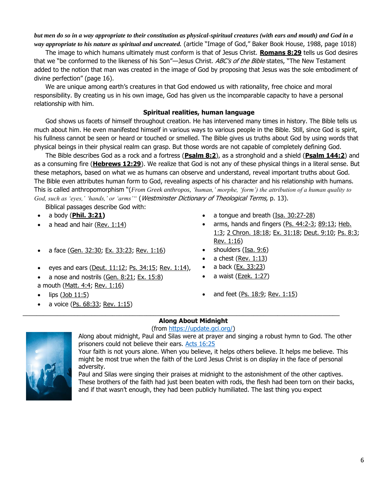*but men do so in a way appropriate to their constitution as physical-spiritual creatures (with ears and mouth) and God in a way appropriate to his nature as spiritual and uncreated.* (article "Image of God," Baker Book House, 1988, page 1018)

The image to which humans ultimately must conform is that of Jesus Christ. **[Romans 8:29](https://biblia.com/bible/niv/Rom%208.29)** tells us God desires that we "be conformed to the likeness of his Son"—Jesus Christ. ABC's of the Bible states, "The New Testament added to the notion that man was created in the image of God by proposing that Jesus was the sole embodiment of divine perfection" (page 16).

We are unique among earth's creatures in that God endowed us with rationality, free choice and moral responsibility. By creating us in his own image, God has given us the incomparable capacity to have a personal relationship with him.

## **Spiritual realities, human language**

God shows us facets of himself throughout creation. He has intervened many times in history. The Bible tells us much about him. He even manifested himself in various ways to various people in the Bible. Still, since God is spirit, his fullness cannot be seen or heard or touched or smelled. The Bible gives us truths about God by using words that physical beings in their physical realm can grasp. But those words are not capable of completely defining God.

The Bible describes God as a rock and a fortress (**[Psalm 8:2](https://biblia.com/bible/niv/Ps%208.2)**), as a stronghold and a shield (**[Psalm 144:2](https://biblia.com/bible/niv/Ps%20144.2)**) and as a consuming fire (**[Hebrews 12:29](https://biblia.com/bible/niv/Heb%2012.29)**). We realize that God is not any of these physical things in a literal sense. But these metaphors, based on what we as humans can observe and understand, reveal important truths about God. The Bible even attributes human form to God, revealing aspects of his character and his relationship with humans. This is called anthropomorphism "(*From Greek anthropos, 'human,' morphe, 'form') the attribution of a human quality to God, such as 'eyes,' 'hands,' or 'arms'"* (Westminster Dictionary of Theological Terms, p. 13).

Biblical passages describe God with:

- 
- 
- a face [\(Gen. 32:30;](https://biblia.com/bible/niv/Gen.%2032.30) [Ex. 33:23;](https://biblia.com/bible/niv/Exod.%2033.23) [Rev. 1:16\)](https://biblia.com/bible/niv/Rev.%201.16) shoulders [\(Isa. 9:6\)](https://biblia.com/bible/niv/Isa.%209.6)
- eyes and ears [\(Deut. 11:12;](https://biblia.com/bible/niv/Deut.%2011.12) [Ps. 34:15;](https://biblia.com/bible/niv/Ps.%2034.15) [Rev. 1:14\)](https://biblia.com/bible/niv/Rev.%201.14), a back [\(Ex. 33:23\)](https://biblia.com/bible/niv/Exod.%2033.23)
- a nose and nostrils [\(Gen. 8:21;](https://biblia.com/bible/niv/Gen.%208.21) [Ex. 15:8\)](https://biblia.com/bible/niv/Exod.%2015.8) a mouth [\(Matt. 4:4;](https://biblia.com/bible/niv/Matt.%204.4) [Rev. 1:16\)](https://biblia.com/bible/niv/Rev.%201.16)
- 
- a voice  $(Ps. 68:33; Rev. 1:15)$  $(Ps. 68:33; Rev. 1:15)$
- a body (**[Phil. 3:21\)](https://biblia.com/bible/niv/Phil.%203.21)** a tongue and breath [\(Isa. 30:27-28\)](https://biblia.com/bible/niv/Isa.%2030.27-28)
- a head and hair  $(Rev. 1:14)$  arms, hands and fingers  $(Ps. 44:2-3; 89:13; Heb.$  $(Ps. 44:2-3; 89:13; Heb.$  $(Ps. 44:2-3; 89:13; Heb.$ [1:3;](https://biblia.com/bible/niv/Heb.%201.3) [2 Chron. 18:18;](https://biblia.com/bible/niv/2%20Chron.%2018.18) [Ex. 31:18;](https://biblia.com/bible/niv/Exod.%2031.18) [Deut. 9:10;](https://biblia.com/bible/niv/Deut.%209.10) [Ps. 8:3;](https://biblia.com/bible/niv/Ps.%208.3) [Rev. 1:16\)](https://biblia.com/bible/niv/Rev.%201.16)
	-
	- a chest [\(Rev. 1:13\)](https://biblia.com/bible/niv/Rev.%201.13)
	-
	- $\bullet$  a waist (**Ezek. 1:27**)
- lips  $(3ob 11:5)$  and feet  $(Ps. 18:9; Rev. 1:15)$  $(Ps. 18:9; Rev. 1:15)$

# **Along About Midnight**

\_\_\_\_\_\_\_\_\_\_\_\_\_\_\_\_\_\_\_\_\_\_\_\_\_\_\_\_\_\_\_\_\_\_\_\_\_\_\_\_\_\_\_\_\_\_\_\_\_\_\_\_\_\_\_\_\_\_\_\_\_\_\_\_\_\_\_\_\_\_\_\_\_\_\_\_\_\_\_\_\_\_\_\_\_\_\_\_\_\_\_\_

(from [https://update.gci.org/\)](https://update.gci.org/)



Along about midnight, Paul and Silas were at prayer and singing a robust hymn to God. The other prisoners could not believe their ears. [Acts 16:25](https://biblia.com/bible/niv/Acts%2016.25)

Your faith is not yours alone. When you believe, it helps others believe. It helps me believe. This might be most true when the faith of the Lord Jesus Christ is on display in the face of personal adversity.

Paul and Silas were singing their praises at midnight to the astonishment of the other captives. These brothers of the faith had just been beaten with rods, the flesh had been torn on their backs, and if that wasn't enough, they had been publicly humiliated. The last thing you expect